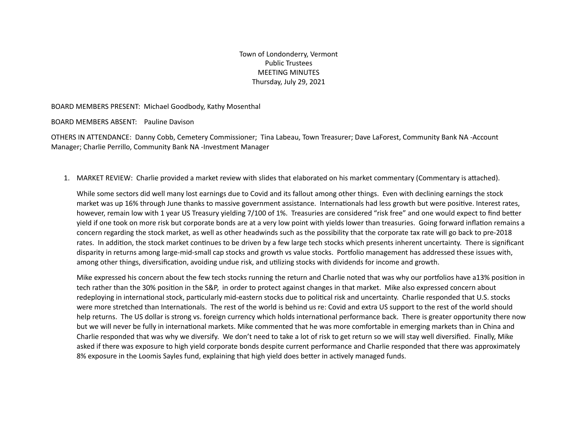Town of Londonderry, Vermont Public Trustees MEETING MINUTES Thursday, July 29, 2021

#### BOARD MEMBERS PRESENT: Michael Goodbody, Kathy Mosenthal

BOARD MEMBERS ABSENT: Pauline Davison

OTHERS IN ATTENDANCE: Danny Cobb, Cemetery Commissioner; Tina Labeau, Town Treasurer; Dave LaForest, Community Bank NA -Account Manager; Charlie Perrillo, Community Bank NA -Investment Manager

1. MARKET REVIEW: Charlie provided a market review with slides that elaborated on his market commentary (Commentary is attached).

While some sectors did well many lost earnings due to Covid and its fallout among other things. Even with declining earnings the stock market was up 16% through June thanks to massive government assistance. Internationals had less growth but were positive. Interest rates, however, remain low with 1 year US Treasury yielding 7/100 of 1%. Treasuries are considered "risk free" and one would expect to find better yield if one took on more risk but corporate bonds are at a very low point with yields lower than treasuries. Going forward inflation remains a concern regarding the stock market, as well as other headwinds such as the possibility that the corporate tax rate will go back to pre-2018 rates. In addition, the stock market continues to be driven by a few large tech stocks which presents inherent uncertainty. There is significant disparity in returns among large-mid-small cap stocks and growth vs value stocks. Portfolio management has addressed these issues with, among other things, diversification, avoiding undue risk, and utilizing stocks with dividends for income and growth.

Mike expressed his concern about the few tech stocks running the return and Charlie noted that was why our portfolios have a13% position in tech rather than the 30% position in the S&P, in order to protect against changes in that market. Mike also expressed concern about redeploying in international stock, particularly mid-eastern stocks due to political risk and uncertainty. Charlie responded that U.S. stocks were more stretched than Internationals. The rest of the world is behind us re: Covid and extra US support to the rest of the world should help returns. The US dollar is strong vs. foreign currency which holds international performance back. There is greater opportunity there now but we will never be fully in international markets. Mike commented that he was more comfortable in emerging markets than in China and Charlie responded that was why we diversify. We don't need to take a lot of risk to get return so we will stay well diversified. Finally, Mike asked if there was exposure to high yield corporate bonds despite current performance and Charlie responded that there was approximately 8% exposure in the Loomis Sayles fund, explaining that high yield does better in actively managed funds.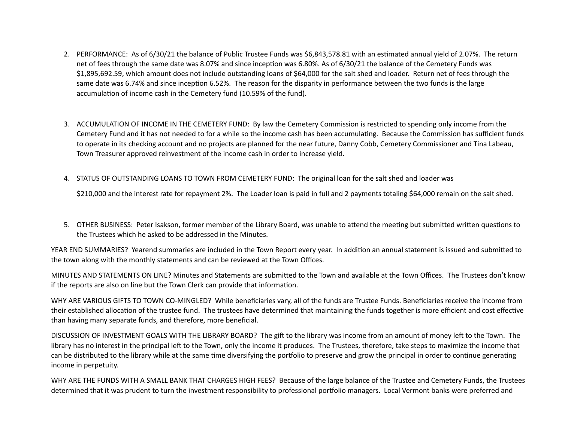- 2. PERFORMANCE: As of 6/30/21 the balance of Public Trustee Funds was \$6,843,578.81 with an estimated annual yield of 2.07%. The return net of fees through the same date was 8.07% and since inception was 6.80%. As of 6/30/21 the balance of the Cemetery Funds was \$1,895,692.59, which amount does not include outstanding loans of \$64,000 for the salt shed and loader. Return net of fees through the same date was 6.74% and since inception 6.52%. The reason for the disparity in performance between the two funds is the large accumulation of income cash in the Cemetery fund (10.59% of the fund).
- 3. ACCUMULATION OF INCOME IN THE CEMETERY FUND: By law the Cemetery Commission is restricted to spending only income from the Cemetery Fund and it has not needed to for a while so the income cash has been accumulating. Because the Commission has sufficient funds to operate in its checking account and no projects are planned for the near future, Danny Cobb, Cemetery Commissioner and Tina Labeau, Town Treasurer approved reinvestment of the income cash in order to increase yield.
- 4. STATUS OF OUTSTANDING LOANS TO TOWN FROM CEMETERY FUND: The original loan for the salt shed and loader was

\$210,000 and the interest rate for repayment 2%. The Loader loan is paid in full and 2 payments totaling \$64,000 remain on the salt shed.

5. OTHER BUSINESS: Peter Isakson, former member of the Library Board, was unable to attend the meeting but submitted written questions to the Trustees which he asked to be addressed in the Minutes.

YEAR END SUMMARIES? Yearend summaries are included in the Town Report every year. In addition an annual statement is issued and submitted to the town along with the monthly statements and can be reviewed at the Town Offices.

MINUTES AND STATEMENTS ON LINE? Minutes and Statements are submitted to the Town and available at the Town Offices. The Trustees don't know if the reports are also on line but the Town Clerk can provide that information.

WHY ARE VARIOUS GIFTS TO TOWN CO-MINGLED? While beneficiaries vary, all of the funds are Trustee Funds. Beneficiaries receive the income from their established allocation of the trustee fund. The trustees have determined that maintaining the funds together is more efficient and cost effective than having many separate funds, and therefore, more beneficial.

DISCUSSION OF INVESTMENT GOALS WITH THE LIBRARY BOARD? The gift to the library was income from an amount of money left to the Town. The library has no interest in the principal left to the Town, only the income it produces. The Trustees, therefore, take steps to maximize the income that can be distributed to the library while at the same time diversifying the portfolio to preserve and grow the principal in order to continue generating income in perpetuity.

WHY ARE THE FUNDS WITH A SMALL BANK THAT CHARGES HIGH FEES? Because of the large balance of the Trustee and Cemetery Funds, the Trustees determined that it was prudent to turn the investment responsibility to professional portfolio managers. Local Vermont banks were preferred and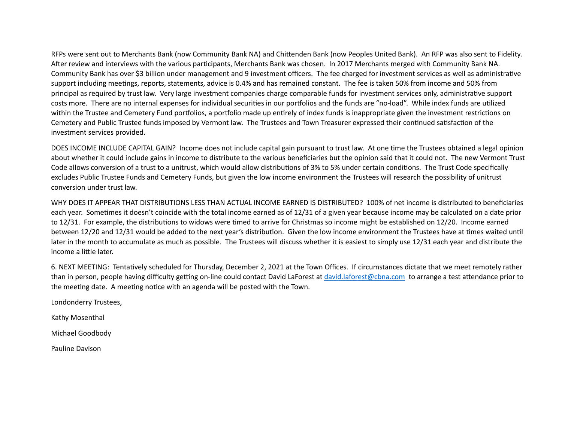RFPs were sent out to Merchants Bank (now Community Bank NA) and Chittenden Bank (now Peoples United Bank). An RFP was also sent to Fidelity. After review and interviews with the various participants, Merchants Bank was chosen. In 2017 Merchants merged with Community Bank NA. Community Bank has over \$3 billion under management and 9 investment officers. The fee charged for investment services as well as administra\ve support including meetings, reports, statements, advice is 0.4% and has remained constant. The fee is taken 50% from income and 50% from principal as required by trust law. Very large investment companies charge comparable funds for investment services only, administrative support costs more. There are no internal expenses for individual securities in our portfolios and the funds are "no-load". While index funds are utilized within the Trustee and Cemetery Fund portfolios, a portfolio made up entirely of index funds is inappropriate given the investment restrictions on Cemetery and Public Trustee funds imposed by Vermont law. The Trustees and Town Treasurer expressed their continued satisfaction of the investment services provided.

DOES INCOME INCLUDE CAPITAL GAIN? Income does not include capital gain pursuant to trust law. At one time the Trustees obtained a legal opinion about whether it could include gains in income to distribute to the various beneficiaries but the opinion said that it could not. The new Vermont Trust Code allows conversion of a trust to a unitrust, which would allow distributions of 3% to 5% under certain conditions. The Trust Code specifically excludes Public Trustee Funds and Cemetery Funds, but given the low income environment the Trustees will research the possibility of unitrust conversion under trust law.

WHY DOES IT APPEAR THAT DISTRIBUTIONS LESS THAN ACTUAL INCOME EARNED IS DISTRIBUTED? 100% of net income is distributed to beneficiaries each year. Sometimes it doesn't coincide with the total income earned as of 12/31 of a given year because income may be calculated on a date prior to 12/31. For example, the distributions to widows were timed to arrive for Christmas so income might be established on 12/20. Income earned between 12/20 and 12/31 would be added to the next year's distribution. Given the low income environment the Trustees have at times waited until later in the month to accumulate as much as possible. The Trustees will discuss whether it is easiest to simply use 12/31 each year and distribute the income a little later.

6. NEXT MEETING: Tentatively scheduled for Thursday, December 2, 2021 at the Town Offices. If circumstances dictate that we meet remotely rather than in person, people having difficulty getting on-line could contact David LaForest at [david.laforest@cbna.com](mailto:david.laforest@cbna.com) to arrange a test attendance prior to the meeting date. A meeting notice with an agenda will be posted with the Town.

Londonderry Trustees,

Kathy Mosenthal

Michael Goodbody

Pauline Davison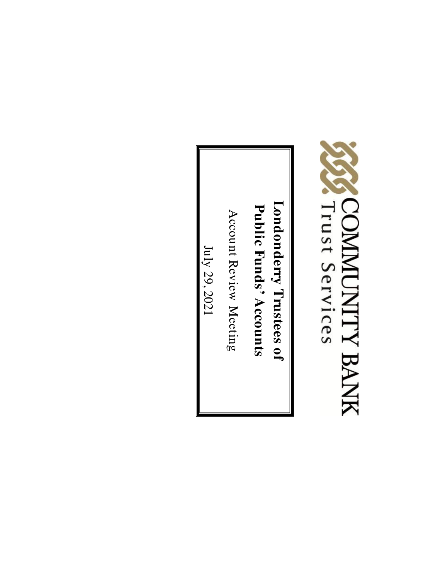

**Londonderry Trustees** Londonderry Trustees of **Public Funds' Accounts** 

Account Review Meeting

July 29, 2021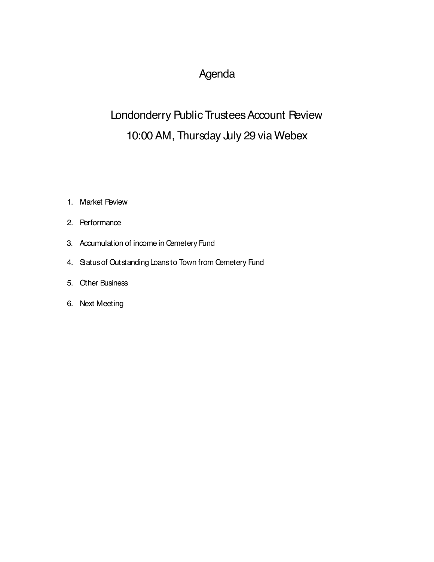#### Agenda

#### Londonderry Public Trustees Account Review 10:00 AM, Thursday July 29 via Webex

- 1. Market Review
- 2. Performance
- 3. Accumulation of income in Cemetery Fund
- 4. Statusof Outstanding Loans to Town from Cemetery Fund
- 5. Other Business
- 6. Next Meeting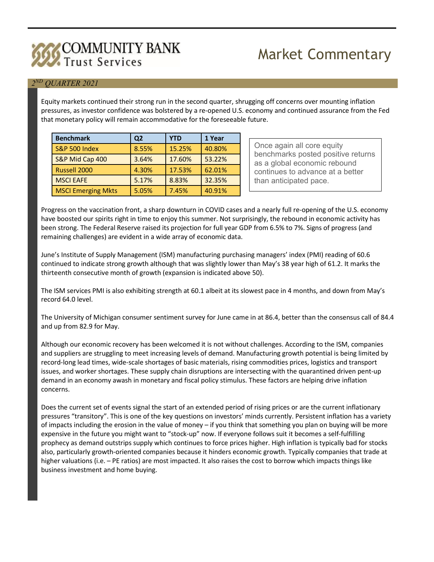## **COMMUNITY BANK**

### **Market Commentary**

#### **2ND QUARTER 2021**

**Equity markets continued their strong run in the second quarter, shrugging off concerns over mounting inflation pressures, as investor confidence was bolstered by a re-opened U.S. economy and continued assurance from the Fed that monetary policy will remain accommodative for the foreseeable future.** 

| <b>Benchmark</b>          | Q <sub>2</sub> | YTD    | 1 Year |
|---------------------------|----------------|--------|--------|
| <b>S&amp;P 500 Index</b>  | 8.55%          | 15.25% | 40.80% |
| S&P Mid Cap 400           | 3.64%          | 17.60% | 53.22% |
| Russell 2000              | 4.30%          | 17.53% | 62.01% |
| <b>MSCI EAFE</b>          | 5.17%          | 8.83%  | 32.35% |
| <b>MSCI Emerging Mkts</b> | 5.05%          | 7.45%  | 40.91% |

**Once again all core equity benchmarks posted positive returns as a global economic rebound continues to advance at a better than anticipated pace.** 

**Progress on the vaccination front, a sharp downturn in COVID cases and a nearly full re-opening of the U.S. economy**  have boosted our spirits right in time to enjoy this summer. Not surprisingly, the rebound in economic activity has been strong. The Federal Reserve raised its projection for full year GDP from 6.5% to 7%. Signs of progress (and **remaining challenges) are evident in a wide array of economic data.** 

**June's Institute of Supply Management (ISM) manufacturing purchasing managers' index (PMI) reading of 60.6**  continued to indicate strong growth although that was slightly lower than May's 38 year high of 61.2. It marks the **thirteenth consecutive month of growth (expansion is indicated above 50).** 

The ISM services PMI is also exhibiting strength at 60.1 albeit at its slowest pace in 4 months, and down from May's **record 64.0 level.** 

The University of Michigan consumer sentiment survey for June came in at 86.4, better than the consensus call of 84.4 **and up from 82.9 for May.** 

**Although our economic recovery has been welcomed it is not without challenges. According to the ISM, companies and suppliers are struggling to meet increasing levels of demand. Manufacturing growth potential is being limited by record-long lead times, wide-scale shortages of basic materials, rising commodities prices, logistics and transport issues, and worker shortages. These supply chain disruptions are intersecting with the quarantined driven pent-up demand in an economy awash in monetary and fiscal policy stimulus. These factors are helping drive inflation concerns.** 

Does the current set of events signal the start of an extended period of rising prices or are the current inflationary pressures "transitory". This is one of the key questions on investors' minds currently. Persistent inflation has a variety of impacts including the erosion in the value of money - if you think that something you plan on buying will be more expensive in the future you might want to "stock-up" now. If everyone follows suit it becomes a self-fulfilling prophecy as demand outstrips supply which continues to force prices higher. High inflation is typically bad for stocks **also, particularly growth-oriented companies because it hinders economic growth. Typically companies that trade at**  higher valuations (i.e. - PE ratios) are most impacted. It also raises the cost to borrow which impacts things like **business investment and home buying.**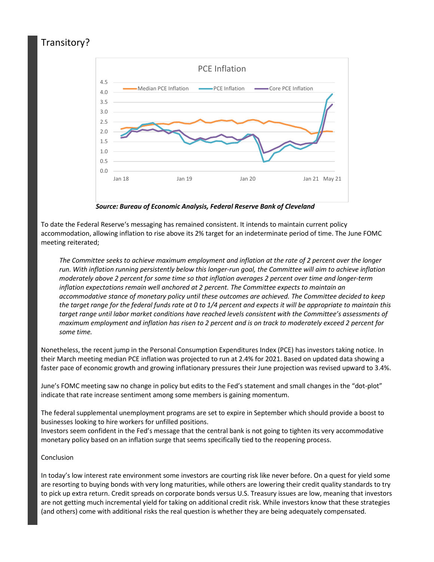#### **Transitory?**



 **Source: Bureau of Economic Analysis, Federal Reserve Bank of Cleveland** 

**To date the Federal Reserve's messaging has remained consistent. It intends to maintain current policy**  accommodation, allowing inflation to rise above its 2% target for an indeterminate period of time. The June FOMC **meeting reiterated;** 

 **The Committee seeks to achieve maximum employment and inflation at the rate of 2 percent over the longer run. With inflation running persistently below this longer-run goal, the Committee will aim to achieve inflation moderately above 2 percent for some time so that inflation averages 2 percent over time and longer-term inflation expectations remain well anchored at 2 percent. The Committee expects to maintain an accommodative stance of monetary policy until these outcomes are achieved. The Committee decided to keep**  the target range for the federal funds rate at 0 to 1/4 percent and expects it will be appropriate to maintain this  **target range until labor market conditions have reached levels consistent with the Committee's assessments of**  maximum employment and inflation has risen to 2 percent and is on track to moderately exceed 2 percent for  **some time.** 

**Nonetheless, the recent jump in the Personal Consumption Expenditures Index (PCE) has investors taking notice. In their March meeting median PCE inflation was projected to run at 2.4% for 2021. Based on updated data showing a faster pace of economic growth and growing inflationary pressures their June projection was revised upward to 3.4%.** 

June's FOMC meeting saw no change in policy but edits to the Fed's statement and small changes in the "dot-plot" **indicate that rate increase sentiment among some members is gaining momentum.** 

**The federal supplemental unemployment programs are set to expire in September which should provide a boost to businesses looking to hire workers for unfilled positions.** 

**Investors seem confident in the Fed's message that the central bank is not going to tighten its very accommodative monetary policy based on an inflation surge that seems specifically tied to the reopening process.** 

#### **Conclusion**

In today's low interest rate environment some investors are courting risk like never before. On a quest for yield some are resorting to buying bonds with very long maturities, while others are lowering their credit quality standards to try to pick up extra return. Credit spreads on corporate bonds versus U.S. Treasury issues are low, meaning that investors are not getting much incremental yield for taking on additional credit risk. While investors know that these strategies **(and others) come with additional risks the real question is whether they are being adequately compensated.**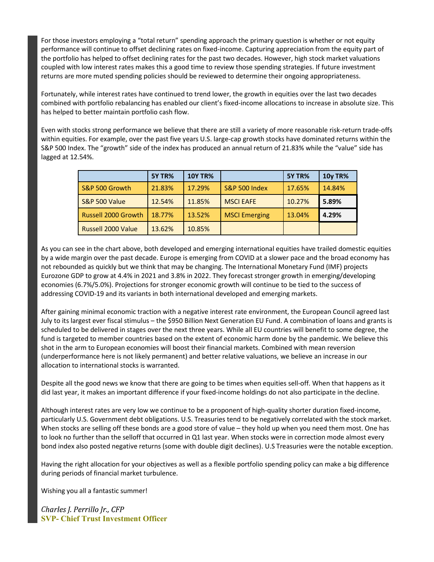**For those investors employing a "total return" spending approach the primary question is whether or not equity performance will continue to offset declining rates on fixed-income. Capturing appreciation from the equity part of**  the portfolio has helped to offset declining rates for the past two decades. However, high stock market valuations coupled with low interest rates makes this a good time to review those spending strategies. If future investment **returns are more muted spending policies should be reviewed to determine their ongoing appropriateness.** 

Fortunately, while interest rates have continued to trend lower, the growth in equities over the last two decades combined with portfolio rebalancing has enabled our client's fixed-income allocations to increase in absolute size. This **has helped to better maintain portfolio cash flow.** 

**Even with stocks strong performance we believe that there are still a variety of more reasonable risk-return trade-offs**  within equities. For example, over the past five years U.S. large-cap growth stocks have dominated returns within the S&P 500 Index. The "growth" side of the index has produced an annual return of 21.83% while the "value" side has **lagged at 12.54%.** 

|                           | <b>5Y TR%</b> | <b>10Y TR%</b> |                      | <b>5Y TR%</b> | <b>10y TR%</b> |
|---------------------------|---------------|----------------|----------------------|---------------|----------------|
| S&P 500 Growth            | 21.83%        | 17.29%         | S&P 500 Index        | 17.65%        | 14.84%         |
| S&P 500 Value             | 12.54%        | 11.85%         | <b>MSCI EAFE</b>     | 10.27%        | 5.89%          |
| Russell 2000 Growth       | 18.77%        | 13.52%         | <b>MSCI Emerging</b> | 13.04%        | 4.29%          |
| <b>Russell 2000 Value</b> | 13.62%        | 10.85%         |                      |               |                |

**As you can see in the chart above, both developed and emerging international equities have trailed domestic equities**  by a wide margin over the past decade. Europe is emerging from COVID at a slower pace and the broad economy has **not rebounded as quickly but we think that may be changing. The International Monetary Fund (IMF) projects Eurozone GDP to grow at 4.4% in 2021 and 3.8% in 2022. They forecast stronger growth in emerging/developing economies (6.7%/5.0%). Projections for stronger economic growth will continue to be tied to the success of addressing COVID-19 and its variants in both international developed and emerging markets.** 

**After gaining minimal economic traction with a negative interest rate environment, the European Council agreed last**  July to its largest ever fiscal stimulus - the \$950 Billion Next Generation EU Fund. A combination of loans and grants is scheduled to be delivered in stages over the next three years. While all EU countries will benefit to some degree, the **fund is targeted to member countries based on the extent of economic harm done by the pandemic. We believe this shot in the arm to European economies will boost their financial markets. Combined with mean reversion (underperformance here is not likely permanent) and better relative valuations, we believe an increase in our allocation to international stocks is warranted.** 

Despite all the good news we know that there are going to be times when equities sell-off. When that happens as it did last year, it makes an important difference if your fixed-income holdings do not also participate in the decline.

Although interest rates are very low we continue to be a proponent of high-quality shorter duration fixed-income, **particularly U.S. Government debt obligations. U.S. Treasuries tend to be negatively correlated with the stock market.**  When stocks are selling off these bonds are a good store of value - they hold up when you need them most. One has to look no further than the selloff that occurred in Q1 last year. When stocks were in correction mode almost every bond index also posted negative returns (some with double digit declines). U.S Treasuries were the notable exception.

Having the right allocation for your objectives as well as a flexible portfolio spending policy can make a big difference **during periods of financial market turbulence.** 

**Wishing you all a fantastic summer!** 

Charles *J. Perrillo Jr., CFP* **SVP- Chief Trust Investment Officer**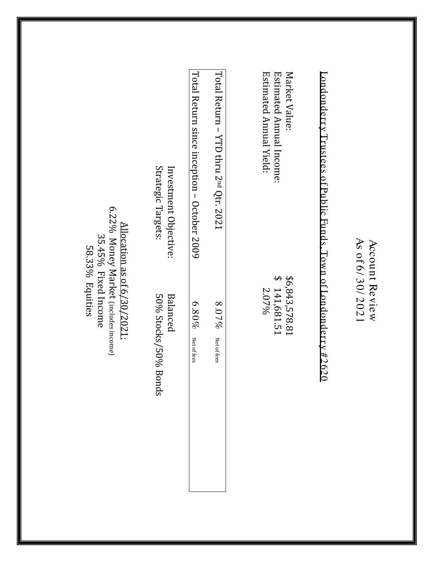|                                                                                                               | Strategic Targets:<br>Investment Objective: | Total Return since inception – October 2009 | Total Return - YTD thru 2 <sup>nd</sup> Qtr. 2021 | Market Value:<br>Estimated Annual Income:<br>Estimated Annual Yield: | ${\tt Londonty\ Trustees\ of\ Pubic\ Funds. \  Town\ of\ Londondortry\ \#2620}$ |                                   |
|---------------------------------------------------------------------------------------------------------------|---------------------------------------------|---------------------------------------------|---------------------------------------------------|----------------------------------------------------------------------|---------------------------------------------------------------------------------|-----------------------------------|
| 6.22% Money Market (includes income)<br>Allocation as of 6/30/2021:<br>35.45% Fixed Income<br>58.33% Equities | 50% Stocks/50% Bonds<br>Balanced            | $6.80\%$<br>Net of fees                     | $8.07\%$<br>Net of fees                           | $\boldsymbol{\varphi}$<br>\$6,843,578.81<br>141,681.51<br>2.07%      | ⊢                                                                               | As of 6/30/2021<br>Account Review |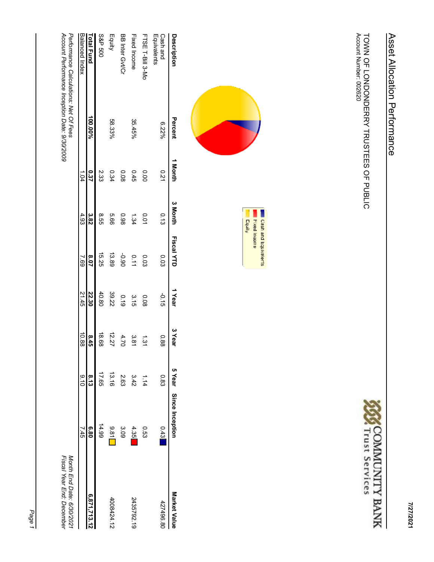TOWN OF LONDONDERRY TRUSTEES OF PUBLIC<br>Account Number: 002620









| Description                                                                            | Percent | I Month |      | <b>SIDINT Fiscal XID</b> | 1 Year        | 3 Year   |       | 5 Year Since Inception | Market Value                                           |
|----------------------------------------------------------------------------------------|---------|---------|------|--------------------------|---------------|----------|-------|------------------------|--------------------------------------------------------|
| Equivalents<br>Cash and                                                                | 6.22%   | 0.21    | 0.13 | 0.03                     | $-0.15$       | 0.88     | 0.83  | 0.43                   | 427496.80                                              |
| FTSE T-Bill 3-Mc                                                                       |         | 0.00    | 0.01 | <b>0.03</b>              | 80.0          | ر<br>پن  | 1.14  | 0.53                   |                                                        |
| Fixed Income                                                                           | 35.45%  | 0.45    | 1.34 | 0.11                     | $\frac{3}{5}$ | یب<br>∞  | 3.42  | 4.35                   | 2435792.19                                             |
| BB Inter GvVCr                                                                         |         | 0.08    | 86.0 | <b>06.0-</b>             | 610           | 4.70     | 2.63  | 3.09                   |                                                        |
| Equity                                                                                 | 58.33%  | 0.34    | 99'9 | 13.89                    | 39.22         | 12.27    | 13.16 | 9.81                   | 4008424.12                                             |
| <b>S&amp;P 500</b>                                                                     |         | 2.33    | 9.55 | 15.25                    | 40.80         | 18.68    | 17.65 | 14.99                  |                                                        |
| Fotal Fund                                                                             | %00.00% | 0.37    | 3.82 | 8.07                     | 22.30         | 8.4<br>ö | 8.13  | 6.80                   | 6,871,713.12                                           |
| Balanced Index                                                                         |         | 1.04    | 4.93 | 5.69                     | 21.45         | 10.88    | 0.6   | 7.45                   |                                                        |
| Account Performance Inception Date: 9/30/2009<br>Performance Calculations: Net Of Fees |         |         |      |                          |               |          |       |                        | Fiscal Year End: December<br>Month End Date: 6/30/2021 |

Page 1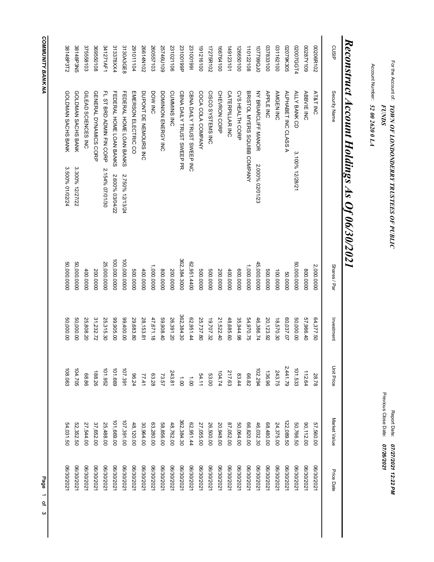# For the Account ۹ Account Number: Report Date: *TOWN OF LONDONDERRY TRUSTEES OF PUBLIC 52 00 2620 0 LA 07/26/2021 FUNDS*

*07/27/2021 12:22 PM* Previous Close Date:

*Reconstruct Account Holdings As Of 06/30/2021*

|            | 52,352.50<br>54,031.50 | 104.705<br>108.063   | 50,000.00<br>50,000.00 | 50,000.0000<br>50,000.0000 | GOLDMAN SACHS BANK<br>GOLDMAN SACHS BANK<br>3.300% 12/27/22<br>3.500% 01/02/24 | 38148P3N5<br>38148P3T2 |
|------------|------------------------|----------------------|------------------------|----------------------------|--------------------------------------------------------------------------------|------------------------|
| 27,544.00  |                        | 68.86                | 25,808.20              | 400.0000                   | GILEAD SCIENCES INC                                                            | 375558103              |
| 37,652.00  |                        | 188.26               | 31,232.72              | 200.0000                   | GENERAL DYNAMICS CORP                                                          | 369550108              |
| 25,488.00  |                        | 101.952              | 25,315.30              | 25,000.0000                | FL ST BRD ADMIN FIN CORP<br>2.154% 07/01/30                                    | 341271AF1              |
| 101,669.00 |                        | 101.669              | 99,905.00              | 100,000.0000               | FEDERAL HONE LOAN BANKS<br>2.600% 03/04/22                                     | 313378XX4              |
| 107,391.00 |                        | 107.391              | 00.00.00               | 100,000.0000               | FEDERAL HOME LOAN BANKS<br>2.750% 12/13/24                                     | 3130A3GE8              |
| 48,120.00  |                        | 96.24                | 29,683.80              | 0000009                    | EMERSON ELECTRIC CO                                                            | 291011104              |
| 30,964.00  |                        | 63.28<br>77.41       | 28,153.81              | 400.0000                   | DUPONT DE NEMOURS INC                                                          | 26614N102              |
| 63,280.00  |                        |                      | 47,671.18              | 1,000.0000                 | DOW INC                                                                        | 260557103              |
| 58,856.00  |                        | 73.57                | 59,908.40              | 0000'008                   | DOMINION ENERGY INC                                                            | 25746U109              |
| 48,762.00  |                        | 243.81               | 26,391.20              | 200.0000                   | CUMMINS INC                                                                    | 231021106              |
|            | 362,384.30             | $\ddot{\tilde{g}}$   | 362,384.30             | 362,384.3000               | CBNA DAILY TRUST SWEEP PR                                                      | 23100199P              |
| 62,951.44  |                        | $\overrightarrow{0}$ | 62,951.44              | 62,951.4400                | CBNA DAILY TRUST SWEEP INC                                                     | 231001991              |
| 27,055.00  |                        | 54.11                | 25,737.80              | 0000000                    | COCA COLA COMPANY                                                              | 191216100              |
|            | 26,500.00              | 104.74<br>53.00      | 19,707.32              | 0000000                    | CISCO SYSTEMS INC                                                              | 17275R102              |
|            | 20,948.00              |                      | 21,522.40              | 200.0000                   | <b>CHEVRON CORP</b>                                                            | 166764100              |
| 87,052.00  |                        | 217.63               | 48,685.60              | 400.0000                   | <b>CATERPILLAR INC</b>                                                         | 149123101              |
|            | 50,064.00              | 83.44                | 35,944.98              | 00000009                   | <b>CVS HEALTH CORP</b>                                                         | 126650100              |
| 66,820.00  |                        | 66.82                | 54,970.75              | 1,000.000.000              | BRISTOL MYERS SQUIBB COMPANY                                                   | 110122108              |
|            | 46,032.30              |                      | 46,386.74              | 45,000.0000                | <b>NANDULFI NANOR</b><br>2.000% 02/01/23                                       | 002399010              |
|            | 68,480.00              | 136.96<br>102.294    | 20, 123.92             | 0000.000                   | <b>APPLE INC</b>                                                               | 037833100              |
|            | 24,375.00              | 243.75               | 18,570.30              | 100.0000                   | AMGEN INC                                                                      | 031162100              |
|            | 22,089.50              | 2,441.79             | 60,037.07              | 000009                     | ALPHABET INC CLASS A                                                           | 02079K305              |
| 50,766.50  |                        | 101.533              | 50,000.00              | 50,000.0000                | ALLY BANK CD<br>3.100% 12/28/21                                                | 02007GGT4              |
| 90,112.00  |                        | 112.64               | 57,966.40              | 0000'008                   | <b>ABBVIE INC</b>                                                              | 00287Y109              |
| 57,560.00  |                        | 28.78                | 64,377.50              | 2,000.0000                 | AT&T INC                                                                       | 00206R102              |
|            | Market Value           | <b>Unit Price</b>    | Investment             | Shares / Par               | Security Name                                                                  | CUSIP                  |
|            |                        |                      |                        |                            |                                                                                |                        |

**COMMUNITY BANK NA** 3 Page of *COMMUNITY BANK NA*

Page 1 of 3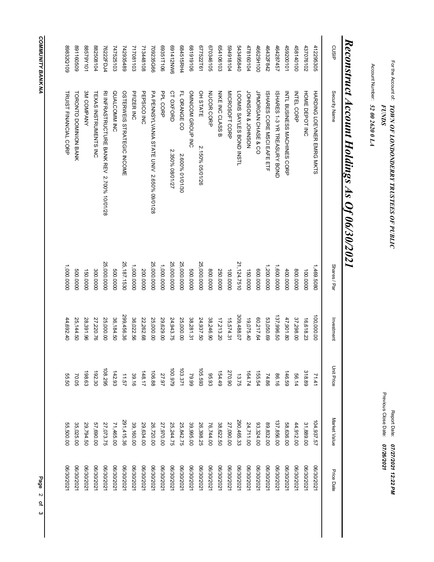# For the Account ۹ Account Number: Report Date: *TOWN OF LONDONDERRY TRUSTEES OF PUBLIC 52 00 2620 0 LA 07/26/2021 FUNDS*

*07/27/2021 12:22 PM* Previous Close Date:

## *Reconstruct Account Holdings As Of 06/30/2021*

| cusip     | Security Name                              | Shares / Par | Investment | <b>Unit Price</b> | Market Value | Price Date |
|-----------|--------------------------------------------|--------------|------------|-------------------|--------------|------------|
| 412295305 | HARDING LOEVNER EMRG MKTS                  | 1,469.5080   | 100,000.00 | 71.41             | 104,937.57   | 06/30/2021 |
| 437076102 | HOME DEPOT INC                             | 100.0000     | 16,618.23  | 318.89            | 31,889.00    | 06/30/2021 |
| 458140100 | <b>INTEL CORP</b>                          | 0000'008     | 37,298.00  | 56.14             | 44,912.00    | 06/30/2021 |
| 459200101 | INTL BUSINESS MACHINES CORP                | 400.0000     | 47,901.80  | 146.59            | 58,636.00    | 06/30/2021 |
| 464287457 | ISHARES 1-3 YR TREASURY BOND               | 1,600.0000   | 137,996.50 | 86.16             | 137,856.00   | 06/30/2021 |
| 46432F842 | ISHARES CORE MSCI EAFE ETF                 | 1,200.0000   | 53,050.69  | 74.86             | 89,832.00    | 06/30/2021 |
| 46625H100 | JPMORGAN CHASE & CO                        | 0000.000     | 60,217.64  | 155.54            | 93,324.00    | 06/30/2021 |
| 478160104 | NOSNHOL & NOSNHOL                          | 150.0000     | 19,075.40  |                   | 24,711.00    | 06/30/2021 |
| 543495840 | LOOMIS SAYLES BOND INSTL                   | 21,124.7510  | 309,488.07 | 164.74<br>13.75   | 290,465.33   | 06/30/2021 |
| 594918104 | MICROSOFT CORP                             | 100.0000     | 15,574.31  | 270.90            | 27,090.00    | 06/30/2021 |
| 654106103 | <b>NIKE INC CLASS B</b>                    | 250.0000     | 17,213.20  | 154.49            | 38,622.50    | 06/30/2021 |
| 670346105 | NUCOR CORP                                 | 0000008      | 38,246.90  | 95.93             | 76,744.00    | 06/30/2021 |
| 677522T61 | OH STATE<br>2.150% 05/01/26                | 25,000.0000  | 24,937.50  | 105.593           | 26,398.25    | 06/30/2021 |
| 901616189 | OMNICOM GROUP INC                          | 0000.000     | 38,281.31  | 79.99             | 39,995.00    | 06/30/2021 |
| 684515RH4 | FL ORANGE CO<br>2.600% 01/01/30            | 25,000.0000  | 25,000.00  | 103.371           | 25,842.75    | 06/30/2021 |
| 9MNZ14150 | CT OXFORD<br>2.350% 08/01/27               | 25,000.0000  | 24,943.75  | 626'001           | 25,244.75    | 06/30/2021 |
| 69351T106 | PPL CORP                                   | 1,000.000.0  | 29,629.00  | 27.97             | 27,970.00    | 06/30/2021 |
| 709235G66 | PA PENNSYLVANIA STATE UNIV 2.650% 09/01/28 | 25,000.0000  | 25,000.00  | 106.88<br>148.17  | 26,720.00    | 06/30/2021 |
| 713448108 | PEPSICO INC                                | 200.0000     | 22,262.68  |                   | 29,634.00    | 06/30/2021 |
| 717081103 | PFIZER INC                                 | 1,000.0000   | 36,022.56  | 39.16             | 39,160.00    | 06/30/2021 |
| 742935489 | OSTERWEIS STRATEGIC INCOME                 | 25,187.1530  | 299,456.36 | 11.57             | 291,415.36   | 06/30/2021 |
| 747525103 | QUALCOMM INC                               | 0000.000     | 36,184.50  | 142.93            | 71,465.00    | 06/30/2021 |
| 76222FDJ4 | RI INFRASTRUCTURE BANK REV 2.700% 10/01/28 | 25,000.0000  | 25,000.00  | 108.295           | 27,073.75    | 06/30/2021 |
| 882508104 | <b>TEXAS INSTRUMENTS INC</b>               | 300.0000     | 27,220.76  | 192.30            | 57,690.00    | 06/30/2021 |
| 101X62988 | <b>SM COMPANY</b>                          | 150.0000     | 28,391.96  | 198.63            | 29,794.50    | 06/30/2021 |
| 60991460  | <b>TORONTO DOMINION BANK</b>               | 500.0000     | 25,144.50  | 70.05             | 35,025.00    | 06/30/2021 |
| 89832Q109 | TRUIST FINANCIAL CORP                      | 1,000.0000   | 44,692.40  | 55.50             | 55,500.00    | 06/30/2021 |

**COMMUNITY BANK NA** 3 Page of *COMMUNITY BANK NA*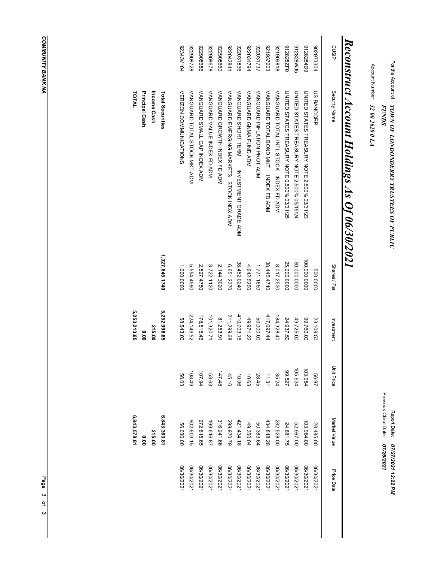For the Account ۹ Account Number: Report Date: *TOWN OF LONDONDERRY TRUSTEES OF PUBLIC 52 00 2620 0 LA 07/26/2021 FUNDS*

*07/27/2021 12:22 PM* Previous Close Date:

## *Reconstruct Account Holdings As Of 06/30/2021*

|            | 6,843,578.81 |            | 5,253,213.65 |                | TOTAL                                                 |                  |
|------------|--------------|------------|--------------|----------------|-------------------------------------------------------|------------------|
|            | 0.00         |            | 000          |                | Principal Cash                                        |                  |
|            | 215.00       |            | 215.00       |                | Income Cash                                           |                  |
|            | 6,843,363.8  |            | 5,252,998.65 | 1,327,845.1740 | Total Securities                                      |                  |
| 06/30/202  | 56,030.00    | 56.03      | 58,543.00    | 1,000.0000     | VERIZON COMMUNICATIONS                                | <b>92343V104</b> |
| 06/30/202  | 602,603.15   | 108.49     | 224,149.52   | 5,554.4580     | VANGUARD TOTAL STOCK MKT ADM                          | 822908728        |
| 06/30/202  | 272,815.65   | 107.94     | 178,515.46   | 2,527.4750     | VANGUARD SMALL CAP INDEX ADM                          | 922908686        |
| 06/30/202  | 199,616.87   | 53.63      | 101,320.71   | 3,722.1120     | VANGUARD VALUE INDEX TO ADA                           | 822908678        |
| 06/30/202  | 316,241.66   | 147.48     | 81,253.91    | 2,144.3020     | VANGUARD GROWTH INDEX FD ADM                          | 099806226        |
| 06/30/202  | 299,970.79   | 45.10      | 211,299.68   | 6,651.2370     | VANGUARD EMERGING MARKETS<br>STOCK INDX<br>STOCK      | 122042841        |
| 06/30/202  | 421,434.18   | 96'01      | 410,703.16   | 38,452.0240    | VANGUARD SHORT TERM<br>INVESTMENT GRADE ADM           | 922031836        |
| 06/30/202  | 49,350.04    | 10.63      | 49,971.22    | 4,642.5250     | VANGUARD GANA FUND AD                                 | 922031794        |
| 06/30/202  | 50,389.64    | 28.45      | 50,000.00    | 1,771.1650     | VANGUARD INFLATION PROT ADM                           | 222031737        |
| 06/30/202  | 434,818.28   | 11.31      | 417,697.44   | 38,445.4710    | VANGUARD TOTAL BOND MKT<br>VANGUARD TOTAL<br>BOND NAT | 271937603        |
| 06/30/202  | 282,528.00   | 35.24      | 184,328.40   | 8,017.2530     | VANGUARD TOTAL INTL STOCK INDEX FD ADM                | 818606126        |
| 06/30/2021 | 24,881.75    | 29.527     | 24,937.50    | 25,000.0000    | UNITED STATES TREASURY NOTE 0.500% 03/31/25           | 912828ZF0        |
| 06/30/202  | 52,967.00    | 105.934    | 49,725.00    | 50,000.0000    | UNITED STATES TREASURY NOTE 2.500% 05/15/24           | 912828WJ5        |
| 06/30/202  | 103,984.00   | 103.984    | 00.760.00    | 100,000.0000   | UNITED STATES TREASURY NOTE 2.500% 03/31/23           | 9128284D9        |
| 06/30/2021 | 28,485.00    | 56.97      | 23,109.50    | 500.0000       | <b>US BANCORP</b>                                     | 902973304        |
|            |              |            |              |                |                                                       |                  |
| Price Date | Market Value | Unit Price | Investment   | Shares / Par   | Security Name                                         | CUSIP            |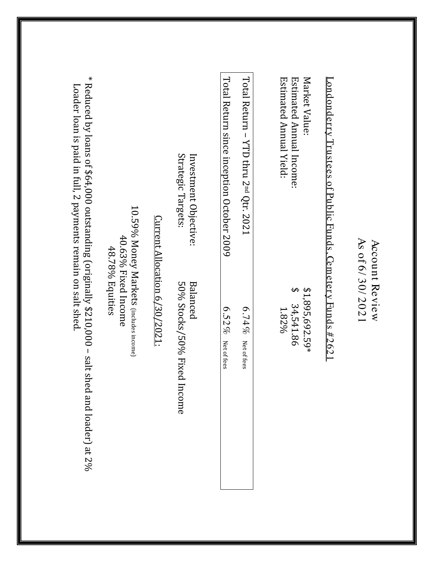| $\Delta$ Loader loan is paid in full, 2 payments remain on salt shed.                          |                                                                                     |                                      | Strategic Targets:<br>Investment Objective: | Lotal Return since inception October 2009 | Total Return - YTD thru 2 <sup>nd</sup> Qtr. 2021 | Market Value:<br>Estimated Annual Yield:<br>Estimated Annual Income:<br><u>ondonderry Trustees of Public Funds, Cemetery Funds #2621</u> |                                   |
|------------------------------------------------------------------------------------------------|-------------------------------------------------------------------------------------|--------------------------------------|---------------------------------------------|-------------------------------------------|---------------------------------------------------|------------------------------------------------------------------------------------------------------------------------------------------|-----------------------------------|
| * Reduced by loans of \$64,000 outstanding (originally \$210,000 – salt shed and loader) at 2% | 10.59% Money Markets (includes income)<br>$40.63\%$ Fixed Income<br>48.78% Equities | <u>Current Allocation 6/30/2021:</u> | 50% Stocks/50% Fixed<br>Balanced<br>Income  | $6.52\%$<br>Net of fees                   | $6.74\%$<br>Net of fees                           | $$1,895,692.59*$<br>34,541.86<br>1.82%                                                                                                   | As of 6/30/2021<br>Account Review |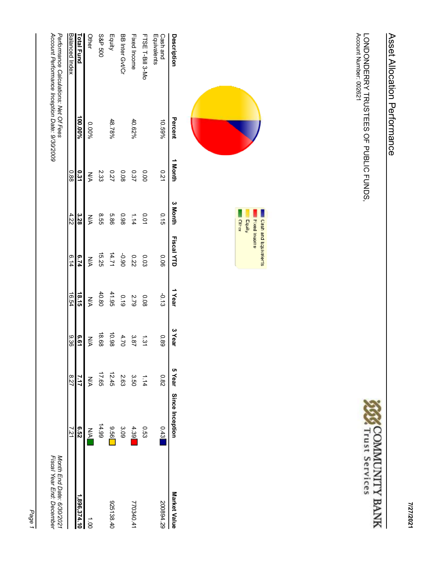LONDONDERRY TRUSTEES OF PUBLIC FUNDS,<br>Account Number: 002621







| Percent                               | 1 Month | 3 Month                                       |         | 1 Year     | 3 Year      |       |               | Market Value                                           |
|---------------------------------------|---------|-----------------------------------------------|---------|------------|-------------|-------|---------------|--------------------------------------------------------|
| 10.59%                                | 0.21    | 0.15                                          | 0.06    | $-0.13$    | 0.89        | 28.0  | 0.43          | 200894.29                                              |
|                                       | 0.00    | 0.01                                          | 0.03    | 0.08       | ر<br>بنا    | 1.14  | <b>C53</b>    |                                                        |
| 40.62%                                | 0.37    | 1.14                                          | 0.22    | 2.79       | 3.87        | 3.50  | 4.39          | 770340.41                                              |
|                                       | 0.08    | 86.0                                          | $-0.90$ | 0.19       | 4.70        | 2.63  | 3.09          |                                                        |
| 48.78%                                | 72      | 5.86                                          | 14.71   | 41.95      | 10.98       | 12.45 | <b>956</b>    | 925138.40                                              |
|                                       | 2.33    | 9.55                                          | 15.25   | 40.80      | 18.68       | 17.65 | 14.99         |                                                        |
| 0.00%                                 | УŃ      | ŠХ                                            | ŠХ      | УŃ         | <b>NA</b>   | ŠХ    | $\frac{1}{2}$ | i<br>S                                                 |
| 100.00%                               | 0.31    | 3.28                                          | 6.74    | 18.15      | <b>6.61</b> | 7.17  | <b>6.52</b>   | 1,896,374.10                                           |
|                                       | 0.88    | 4.22                                          | 6.14    | 16.54      | 930         | 8.27  | 7.21          |                                                        |
| Performance Calculations: Net Of Fees |         |                                               |         |            |             |       |               | Month End Date: 6/30/2021<br>Fiscal Year End: December |
|                                       |         | Account Performance Inception Date: 9/30/2009 |         | Fiscal YTD |             |       |               | 5 Year Since Inception                                 |

Page 1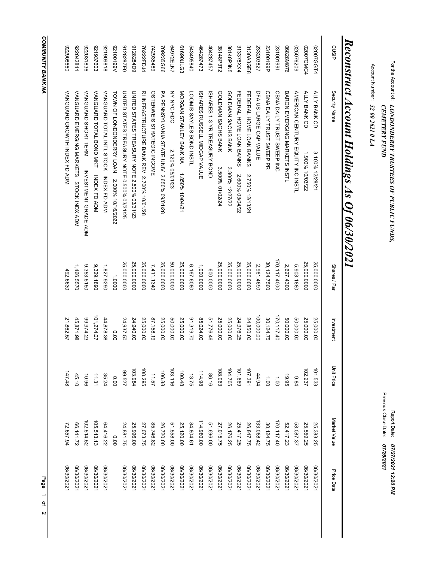# **COMMUNITY BANK NA** 2 Page of *COMMUNITY BANK NA*

Page 1 of 2

| CUSIP      | Security Name                                | Shares / Par  | Investment | <b>Unit Price</b>                            | Market Value            | Price Date |
|------------|----------------------------------------------|---------------|------------|----------------------------------------------|-------------------------|------------|
| 02007GGT4  | ALLY BANK CD<br>3.100% 12/28/21              | 25,000.0000   | 25,000.00  | 101.533                                      | 25,383.25               | 06/30/2021 |
| 02007GMC4  | ALLY BANK CD<br>1.900% 10/03/22              | 25,000.0000   | 25,000.00  | 102.237                                      | 25,559.25               | 06/30/2021 |
| 025076209  | AMERICAN CENTURY EQUITY INC INSTL            | 5,903.1880    | 50,000.00  | 9.84                                         | 58,087.37               | 06/30/2021 |
| 06828M876  | BARON ENERGING WARKETS INSTL                 | 2,627.4300    | 50,000.00  | 19.95                                        |                         | 06/30/2021 |
| 231001991  | CBNA DAILY TRUST SWEEP INC                   | 170,117.4000  | 170,117.40 |                                              | 52,417.23<br>170,117.40 | 06/30/202  |
| 23100199P  | CBNA DAILY TRUST SWEEP PR                    | 30,124.7500   | 30,124.75  | $\begin{array}{c}\n1 \\ 1 \\ 0\n\end{array}$ | 30,124.75               | 06/30/2021 |
| 233203827  | DFA US LARGE CAP VALUE                       | 2,961.4690    | 100,000.00 |                                              |                         | 06/30/202  |
| 3130A3GE8  | FEDERAL HOME LOAN BANKS<br>2.750% 12/13/24   | 25,000.0000   | 24,850.00  | 44.94<br>107.391                             | 133,088.42<br>26,847.75 | 06/30/2021 |
| 313378XX4  | FEDERAL HOME LOAN BANKS<br>2.600% 03/04/22   | 25,000.0000   | 24,976.25  | 101.669                                      | 25,417.25               | 06/30/2021 |
| 38148P3N5  | GOLDMAN SACHS BANK<br>3.300% 12/27/22        | 25,000.0000   | 25,000.00  | 104.705                                      |                         | 06/30/2021 |
| 38148P3T2  | GOLDMAN SACHS BANK<br>3.500% 01/02/24        | 25,000.0000   | 25,000.00  |                                              | 26,176.25<br>27,015.75  | 06/30/202  |
| 464287457  | ISHARE S 1-3 YR HREASCRY BOND                | 0000.000      | 51,776.46  | 86.16                                        | 51,696.00               | 06/30/2021 |
| 464287473  | ISHARES RUSSELL MIDCAP VALUE                 | 1,000.000.000 | 85,024.00  | 114.98                                       | 114,980.00              | 06/30/2021 |
| 5434958840 | LOOMIS SAYLES BOND INSTL                     | 6,167.6080    | 91,319.70  | 13.75                                        | 84,804.61               | 06/30/2021 |
| 61690ULG3  | MORGAN STANLEY BANK NA 1.850% 10/04/21       | 25,000.0000   | 25,000.00  | 100.48                                       | 25,120.00               | 06/30/202  |
| 64972ELN7  | NY NYC HDC<br>2.120% 05/01/23                | 50,000.0000   | 50,000.00  |                                              | 51,558.00               | 06/30/2021 |
| 709235G66  | PA PENNSYLVANIA STATE UNIV 2.650% 09/01/28   | 25,000.0000   | 25,000.00  | 106.88                                       | 26,720.00               | 06/30/2021 |
| 742935489  | OSTERWEIS STRATEGIC INCOME                   | 7,411.1340    | 87,158.19  |                                              |                         | 06/30/202  |
| 76222FDJ4  | RI INFRASTRUCTURE BANK REV 2.700% 10/01/28   | 25,000.0000   | 25,000.00  | 11.57<br>108.295                             | 85,746.82<br>27,073.75  | 06/30/2021 |
| 9128284D9  | UNITED STATES TREASURY NOTE 2.500% 03/31/23  | 25,000.0000   | 24,940.00  | 103.984                                      | 25,996.00               | 06/30/2021 |
| 912828ZF0  | UNITED STATES TREASURY NOTE 0.500% 03/31/25  | 25,000.0000   | 24,937.50  |                                              | 24,881.75               | 06/30/2021 |
| A66100126  | TOWN OF LONDONDERRY LOAN 2.000% 10/16/2022   | 1.0000        | 000        | 00100<br>725.00                              | 0.00                    |            |
| 818606126  | VANGUARD TOTAL INTL STOCK INDEX FD ADM       | 1,827.9290    | 44,878.38  |                                              |                         | 06/30/2021 |
| 271937603  | VANGUARD TOTAL BOND MKT INDEX FD ADM         | 9,329.1890    | 101,274.07 | 35.24                                        | 64,416.22<br>105,513.13 | 06/30/202  |
| 922031836  | VANGUARD SHORT TERM<br>INVESTMENT GRADE ADM  | 9,353.5150    | 99,974.23  | 10.96                                        | 102,514.52              | 06/30/2021 |
| 122042841  | VANGUARD EMERGING MARKETS<br>STOCK INDERGING | 1,466.5570    | 45,871.98  | 45.10                                        | 66,141.72               | 06/30/202  |
| 099806276  | VANGUARD GROVLH INDEX TD ADS                 | 492.6630      | 21,862.57  | 147.48                                       | 72,657.94               | 06/30/2021 |

# For the Account ۹ **CEMETERY FUND** Report Date: *LONDONDERRY TRUSTEES OF PUBLIC FUNDS, 07/26/2021 CEMETERY FUND*

Account Number: *52 00 2621 0 LA*

*Reconstruct*

*Account*

*Holdings*

*As*

*Of*

*06/30/2021*

*07/27/2021 12:20 PM* Previous Close Date: